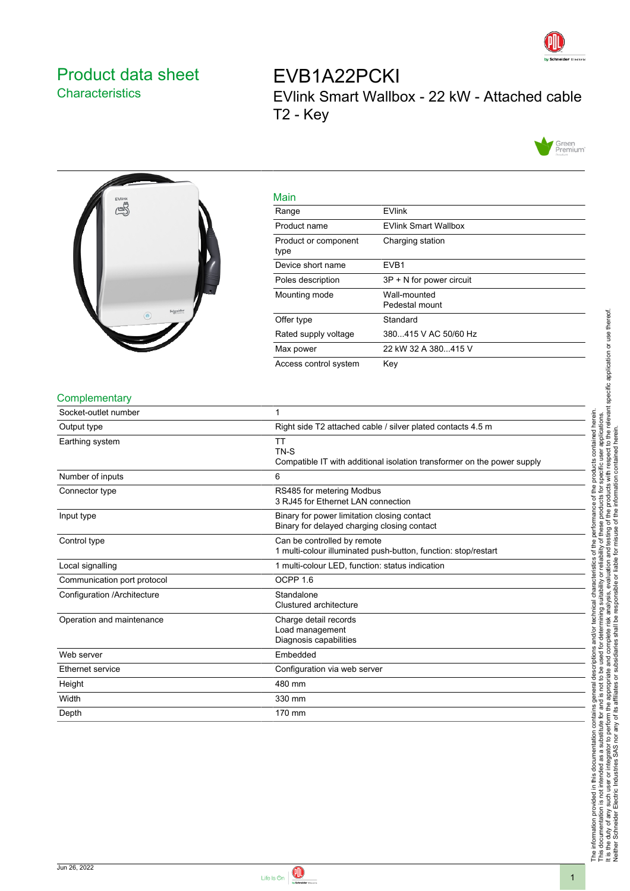

# <span id="page-0-0"></span>Product data sheet **Characteristics**

EVB1A22PCKI EVlink Smart Wallbox - 22 kW - Attached cable T2 - Key





| Main                         |                                |
|------------------------------|--------------------------------|
| Range                        | <b>EVlink</b>                  |
| Product name                 | <b>EVlink Smart Wallbox</b>    |
| Product or component<br>type | Charging station               |
| Device short name            | EVB <sub>1</sub>               |
| Poles description            | 3P + N for power circuit       |
| Mounting mode                | Wall-mounted<br>Pedestal mount |
| Offer type                   | Standard                       |
| Rated supply voltage         | 380415 V AC 50/60 Hz           |
| Max power                    | 22 kW 32 A 380415 V            |
| Access control system        | Key                            |

#### **Complementary**

| Socket-outlet number        |                                                                                               |
|-----------------------------|-----------------------------------------------------------------------------------------------|
| Output type                 | Right side T2 attached cable / silver plated contacts 4.5 m                                   |
| Earthing system             | <b>TT</b><br>TN-S<br>Compatible IT with additional isolation transformer on the power supply  |
| Number of inputs            | 6                                                                                             |
| Connector type              | RS485 for metering Modbus<br>3 RJ45 for Ethernet LAN connection                               |
| Input type                  | Binary for power limitation closing contact<br>Binary for delayed charging closing contact    |
| Control type                | Can be controlled by remote<br>1 multi-colour illuminated push-button, function: stop/restart |
| Local signalling            | 1 multi-colour LED, function: status indication                                               |
| Communication port protocol | OCPP <sub>1.6</sub>                                                                           |
| Configuration /Architecture | Standalone<br>Clustured architecture                                                          |
| Operation and maintenance   | Charge detail records<br>Load management<br>Diagnosis capabilities                            |
| Web server                  | Embedded                                                                                      |
| Ethernet service            | Configuration via web server                                                                  |
| Height                      | 480 mm                                                                                        |
| Width                       | 330 mm                                                                                        |
| Depth                       | 170 mm                                                                                        |